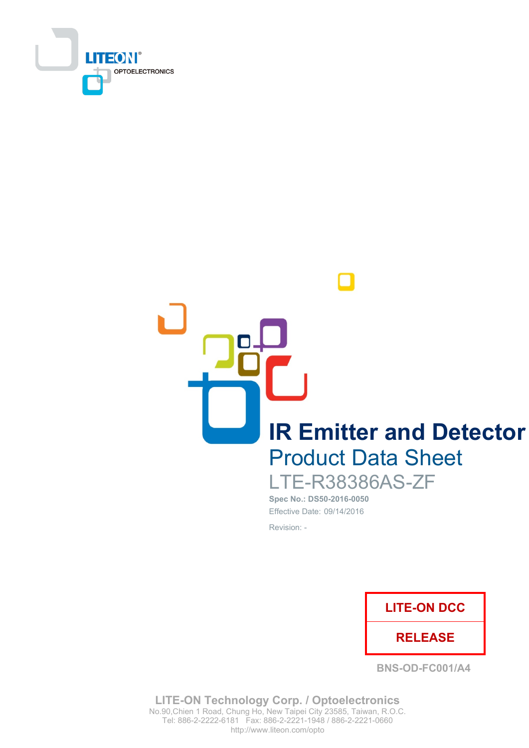

**IR Emitter and Detector Product Data Sheet** 

**LTE-R38386AS-ZF** Spec No.: DS50-2016-0050 Effective Date: 09/14/2016

Revision: -



**BNS-OD-FC001/A4** 

**LITE-ON Technology Corp. / Optoelectronics** No.90, Chien 1 Road, Chung Ho, New Taipei City 23585, Taiwan, R.O.C. Tel: 886-2-2222-6181 Fax: 886-2-2221-1948 / 886-2-2221-0660 http://www.liteon.com/opto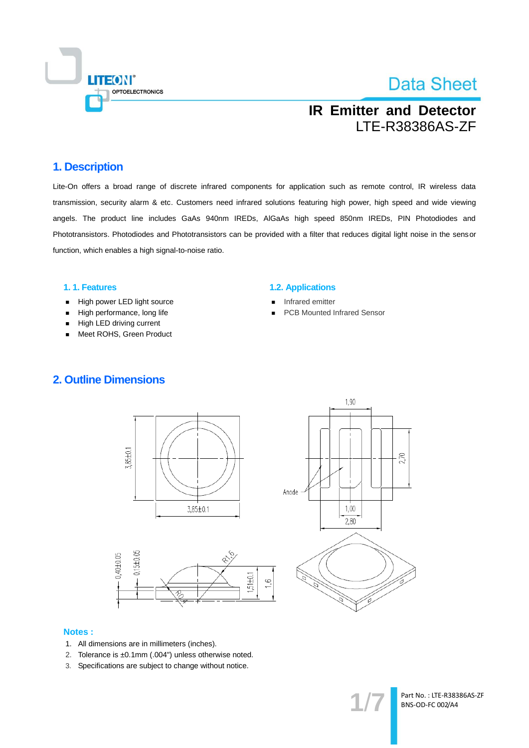

## **IR Emitter and Detector** LTE-R38386AS-ZF

### 1. Description

Lite-On offers a broad range of discrete infrared components for application such as remote control, IR wireless data transmission, security alarm & etc. Customers need infrared solutions featuring high power, high speed and wide viewing angels. The product line includes GaAs 940nm IREDs, AIGaAs high speed 850nm IREDs, PIN Photodiodes and Phototransistors. Photodiodes and Phototransistors can be provided with a filter that reduces digital light noise in the sensor function, which enables a high signal-to-noise ratio.

### 1.1. Features

- High power LED light source  $\blacksquare$
- High performance, long life  $\blacksquare$
- High LED driving current
- Meet ROHS, Green Product

### **1.2. Applications**

- Infrared emitter
- **PCB Mounted Infrared Sensor**

### **2. Outline Dimensions**





### **Notes:**

- 1. All dimensions are in millimeters (inches).
- 2. Tolerance is ±0.1mm (.004") unless otherwise noted.
- 3. Specifications are subject to change without notice.

Part No.: LTE-R38386AS-ZF BNS-OD-FC 002/A4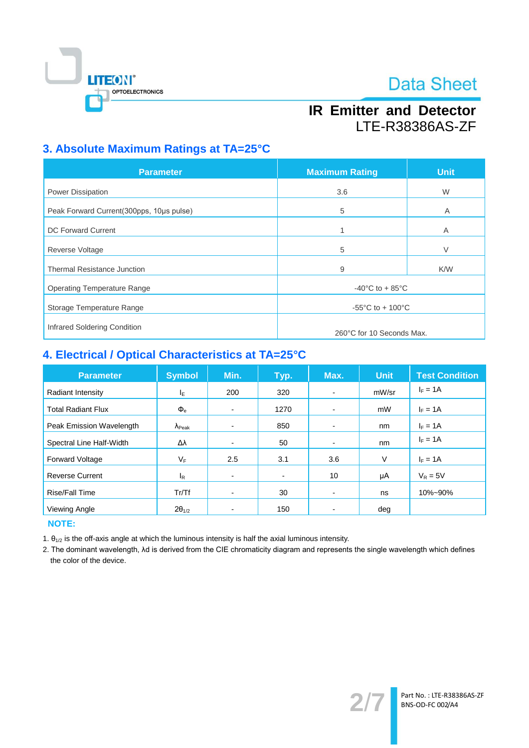

## **IR Emitter and Detector** LTE-R38386AS-ZF

## 3. Absolute Maximum Ratings at TA=25°C

| <b>Parameter</b>                         | <b>Maximum Rating</b>                 | <b>Unit</b> |  |
|------------------------------------------|---------------------------------------|-------------|--|
| Power Dissipation                        | 3.6                                   | W           |  |
| Peak Forward Current(300pps, 10us pulse) | 5                                     | A           |  |
| <b>DC Forward Current</b>                | 1                                     | A           |  |
| <b>Reverse Voltage</b>                   | 5                                     | $\vee$      |  |
| <b>Thermal Resistance Junction</b>       | 9                                     | K/W         |  |
| <b>Operating Temperature Range</b>       | $-40^{\circ}$ C to + 85 $^{\circ}$ C  |             |  |
| Storage Temperature Range                | $-55^{\circ}$ C to + 100 $^{\circ}$ C |             |  |
| Infrared Soldering Condition             |                                       |             |  |
|                                          | 260°C for 10 Seconds Max.             |             |  |

## 4. Electrical / Optical Characteristics at TA=25°C

| <b>Parameter</b>          | <b>Symbol</b>           | Min. | Typ.           | Max.                     | <b>Unit</b> | <b>Test Condition</b> |
|---------------------------|-------------------------|------|----------------|--------------------------|-------------|-----------------------|
| Radiant Intensity         | ΙE                      | 200  | 320            | $\blacksquare$           | mW/sr       | $I_F = 1A$            |
| <b>Total Radiant Flux</b> | $\Phi_{\rm e}$          | -    | 1270           | $\overline{\phantom{0}}$ | mW          | $I_F = 1A$            |
| Peak Emission Wavelength  | $\lambda_{\text{Peak}}$ | -    | 850            | $\blacksquare$           | nm          | $I_F = 1A$            |
| Spectral Line Half-Width  | Δλ                      | -    | 50             | $\overline{\phantom{0}}$ | nm          | $I_F = 1A$            |
| <b>Forward Voltage</b>    | VF                      | 2.5  | 3.1            | 3.6                      | V           | $I_F = 1A$            |
| <b>Reverse Current</b>    | <sub>R</sub>            | -    | $\blacksquare$ | 10                       | μA          | $V_R = 5V$            |
| <b>Rise/Fall Time</b>     | Tr/Tf                   |      | 30             |                          | ns          | 10%~90%               |
| Viewing Angle             | $2\theta_{1/2}$         |      | 150            |                          | deg         |                       |

**NOTE:** 

1.  $\theta_{1/2}$  is the off-axis angle at which the luminous intensity is half the axial luminous intensity.

2. The dominant wavelength, Ad is derived from the CIE chromaticity diagram and represents the single wavelength which defines the color of the device.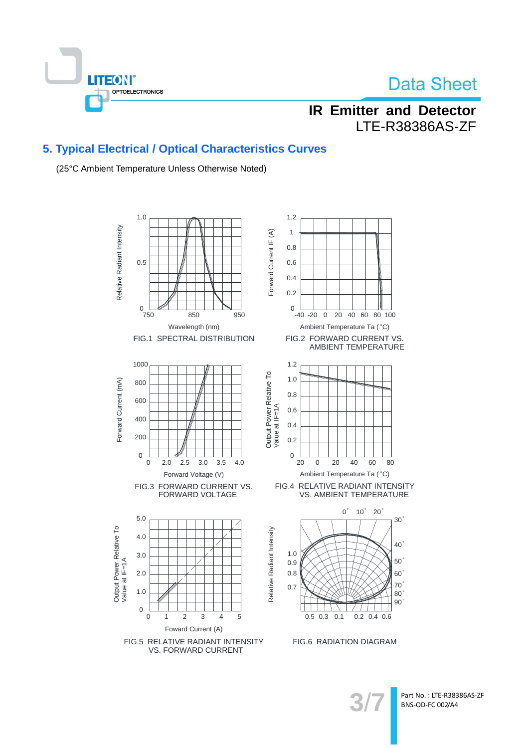

## **IR Emitter and Detector** LTE-R38386AS-ZF

## 5. Typical Electrical / Optical Characteristics Curves

(25°C Ambient Temperature Unless Otherwise Noted)



Part No.: LTE-R38386AS-ZF BNS-OD-FC 002/A4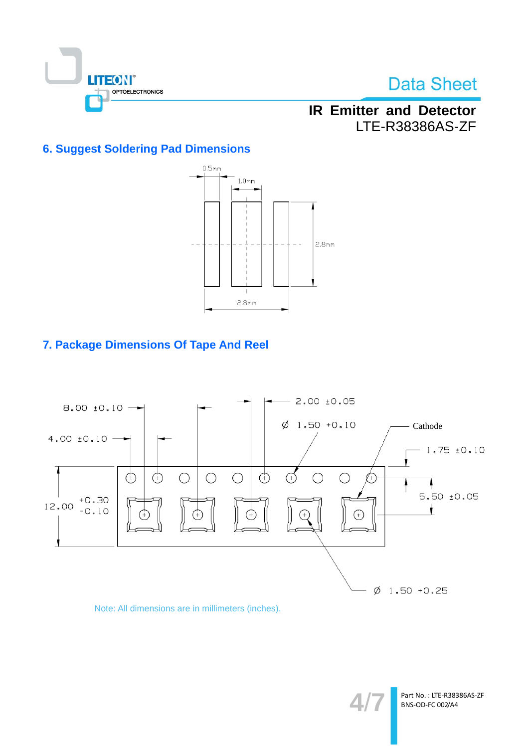

## **IR Emitter and Detector** LTE-R38386AS-ZF

## **6. Suggest Soldering Pad Dimensions**



## 7. Package Dimensions Of Tape And Reel



### Note: All dimensions are in millimeters (inches).

Part No.: LTE-R38386AS-ZF BNS-OD-FC 002/A4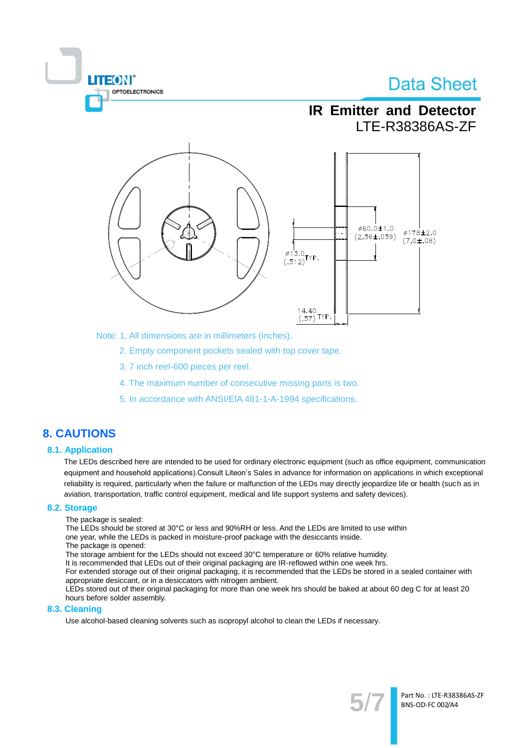# **TEON** OPTOELECTRONICS

# **Data Sheet**

## **IR Emitter and Detector** LTE-R38386AS-ZF



Note: 1. All dimensions are in millimeters (inches).

2. Empty component pockets sealed with top cover tape.

- 3.7 inch reel-600 pieces per reel.
- 4. The maximum number of consecutive missing parts is two.
- 5. In accordance with ANSI/EIA 481-1-A-1994 specifications.

### **8. CAUTIONS**

### **8.1. Application**

The LEDs described here are intended to be used for ordinary electronic equipment (such as office equipment, communication equipment and household applications). Consult Liteon's Sales in advance for information on applications in which exceptional reliability is required, particularly when the failure or malfunction of the LEDs may directly jeopardize life or health (such as in aviation, transportation, traffic control equipment, medical and life support systems and safety devices).

#### 8.2. Storage

The package is sealed:

The LEDs should be stored at 30°C or less and 90%RH or less. And the LEDs are limited to use within one year, while the LEDs is packed in moisture-proof package with the desiccants inside.

The package is opened:

The storage ambient for the LEDs should not exceed 30°C temperature or 60% relative humidity.

It is recommended that LEDs out of their original packaging are IR-reflowed within one week hrs.

For extended storage out of their original packaging, it is recommended that the LEDs be stored in a sealed container with appropriate desiccant, or in a desiccators with nitrogen ambient.

LEDs stored out of their original packaging for more than one week hrs should be baked at about 60 deg C for at least 20 hours before solder assembly.

### 8.3. Cleaning

Use alcohol-based cleaning solvents such as isopropyl alcohol to clean the LEDs if necessary.

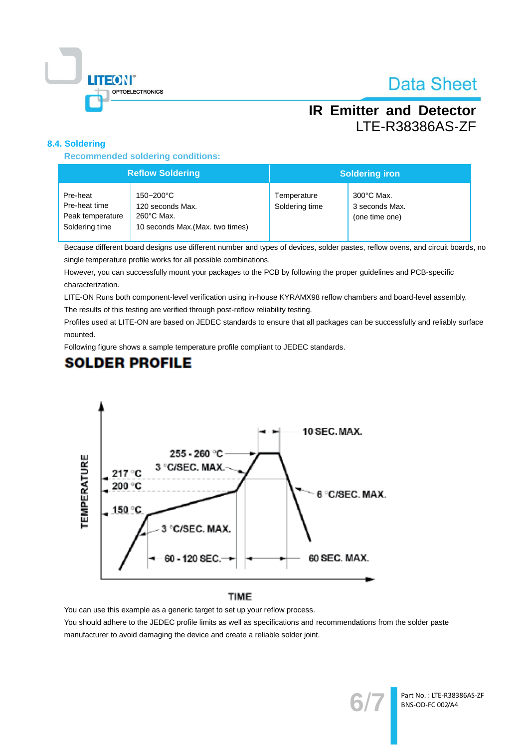

## **IR Emitter and Detector** LTE-R38386AS-ZF

### 8.4. Soldering

**Recommended soldering conditions:** 

| <b>Reflow Soldering</b>                                         |                                                                                           | <b>Soldering iron</b>         |                                                          |  |
|-----------------------------------------------------------------|-------------------------------------------------------------------------------------------|-------------------------------|----------------------------------------------------------|--|
| Pre-heat<br>Pre-heat time<br>Peak temperature<br>Soldering time | 150~200°C<br>120 seconds Max.<br>$260^{\circ}$ C Max.<br>10 seconds Max. (Max. two times) | Temperature<br>Soldering time | $300^{\circ}$ C Max.<br>3 seconds Max.<br>(one time one) |  |

Because different board designs use different number and types of devices, solder pastes, reflow ovens, and circuit boards, no single temperature profile works for all possible combinations.

However, you can successfully mount your packages to the PCB by following the proper guidelines and PCB-specific characterization.

LITE-ON Runs both component-level verification using in-house KYRAMX98 reflow chambers and board-level assembly.

The results of this testing are verified through post-reflow reliability testing.

Profiles used at LITE-ON are based on JEDEC standards to ensure that all packages can be successfully and reliably surface mounted.

Following figure shows a sample temperature profile compliant to JEDEC standards.

## **SOLDER PROFILE**



### **TIME**

You can use this example as a generic target to set up your reflow process.

You should adhere to the JEDEC profile limits as well as specifications and recommendations from the solder paste manufacturer to avoid damaging the device and create a reliable solder joint.